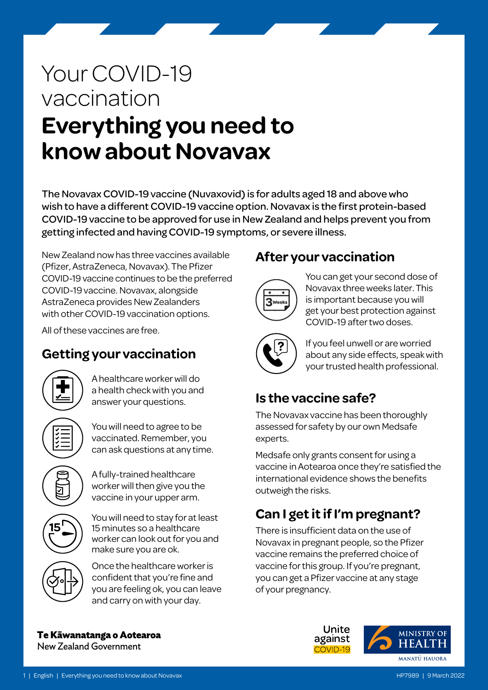# Your COVID-19 vaccination **Everything you need to know about Novavax**

The Novavax COVID-19 vaccine (Nuvaxovid) is for adults aged 18 and above who wish to have a different COVID-19 vaccine option. Novavax is the first protein-based COVID-19 vaccine to be approved for use in New Zealand and helps prevent you from getting infected and having COVID-19 symptoms, or severe illness.

New Zealand now has three vaccines available (Pfizer, AstraZeneca, Novavax). The Pfizer COVID-19 vaccine continues to be the preferred COVID-19 vaccine. Novavax, alongside AstraZeneca provides New Zealanders with other COVID-19 vaccination options.

All of these vaccines are free.

# **Getting your vaccination**



A healthcare worker will do a health check with you and answer your questions.

You will need to agree to be vaccinated. Remember, you can ask questions at any time.

A fully-trained healthcare worker will then give you the vaccine in your upper arm.



You will need to stay for at least 15 minutes so a healthcare worker can look out for you and make sure you are ok.



Once the healthcare worker is confident that you're fine and you are feeling ok, you can leave and carry on with your day.

### **After your vaccination**



You can get your second dose of Novavax three weeks later. This is important because you will get your best protection against COVID-19 after two doses.



If you feel unwell or are worried about any side effects, speak with your trusted health professional.

# **Is the vaccine safe?**

The Novavax vaccine has been thoroughly assessed for safety by our own Medsafe experts.

Medsafe only grants consent for using a vaccine in Aotearoa once they're satisfied the international evidence shows the benefits outweigh the risks.

# **Can I get it if I'm pregnant?**

There is insufficient data on the use of Novavax in pregnant people, so the Pfizer vaccine remains the preferred choice of vaccine for this group. If you're pregnant, you can get a Pfizer vaccine at any stage of your pregnancy.